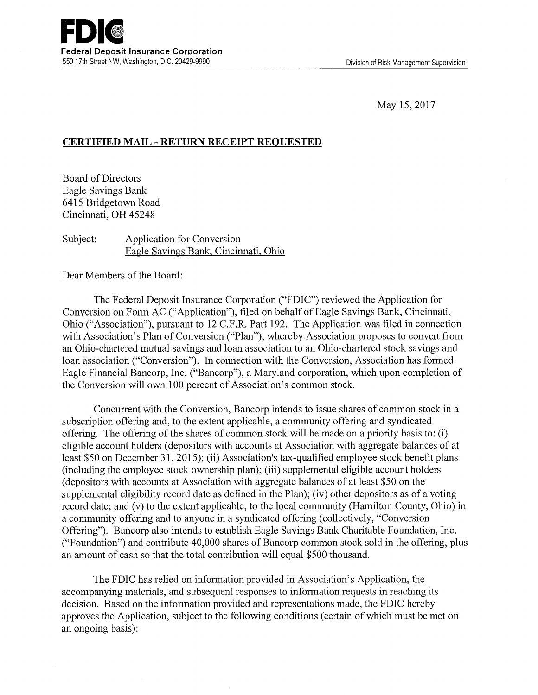May 15, 2017

## **CERTIFIED MAIL - RETURN RECEIPT REQUESTED**

Board of Directors Eagle Savings Bank 6415 Bridgetown Road Cincinnati, OH 45248

## Subject: Application for Conversion Eagle Savings Bank, Cincinnati, Ohio

Dear Members of the Board:

The Federal Deposit Insurance Corporation ("FDIC") reviewed the Application for Conversion on Form AC ("Application"), filed on behalf of Eagle Savings Bank, Cincinnati, Ohio ("Association"), pursuant to 12 C.F.R. Pati 192. The Application was filed in connection with Association's Plan of Conversion ("Plan"), whereby Association proposes to convert from an Ohio-chartered mutual savings and loan association to an Ohio-chartered stock savings and loan association ("Conversion"). In connection with the Conversion, Association has formed Eagle Financial Bancorp, Inc. ("Bancorp"), a Maryland corporation, which upon completion of the Conversion will own 100 percent of Association's common stock.

Concurrent with the Conversion, Bancorp intends to issue shares of common stock in a subscription offering and, to the extent applicable, a community offering and syndicated offering. The offering of the shares of common stock will be made on a priority basis to: (i) eligible account holders ( depositors with accounts at Association with aggregate balances of at least \$50 on December 31, 2015); (ii) Association's tax-qualified employee stock benefit plans (including the employee stock ownership plan); (iii) supplemental eligible account holders ( depositors with accounts at Association with aggregate balances of at least \$50 on the supplemental eligibility record date as defined in the Plan); (iv) other depositors as of a voting record date; and (v) to the extent applicable, to the local community (Hamilton County, Ohio) in a community offering and to anyone in a syndicated offering ( collectively, "Conversion Offering"). Bancorp also intends to establish Eagle Savings Bank Charitable Foundation, Inc. ("Foundation") and contribute 40,000 shares of Bancorp common stock sold in the offering, plus an amount of cash so that the total contribution will equal \$500 thousand.

The FDIC has relied on information provided in Association's Application, the accompanying materials, and subsequent responses to information requests in reaching its decision. Based on the information provided and representations made, the FDIC hereby approves the Application, subject to the following conditions (certain of which must be met on an ongoing basis):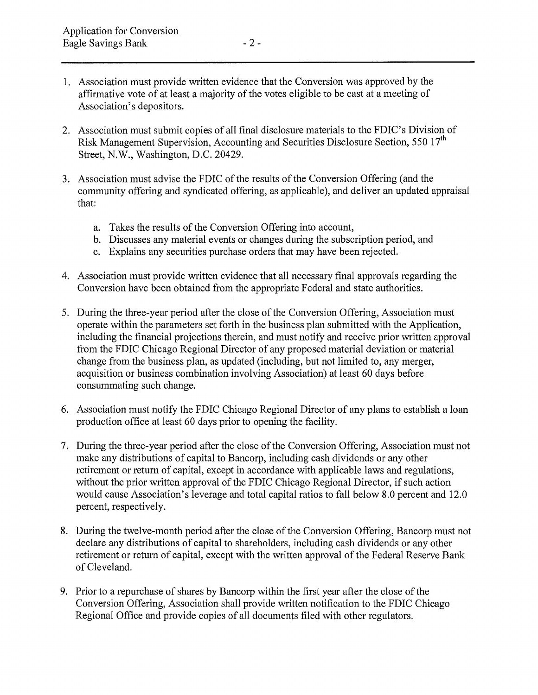- 1. Association must provide written evidence that the Conversion was approved by the affirmative vote of at least a majority of the votes eligible to be cast at a meeting of Association's depositors.
- 2. Association must submit copies of all final disclosure materials to the FDIC's Division of Risk Management Supervision, Accounting and Securities Disclosure Section, 550 17<sup>th</sup> Street, N.W., Washington, D.C. 20429.
- 3. Association must advise the FDIC of the results of the Conversion Offering (and the community offering and syndicated offering, as applicable), and deliver an updated appraisal that:
	- a. Takes the results of the Conversion Offering into account,
	- b. Discusses any material events or changes during the subscription period, and
	- c. Explains any securities purchase orders that may have been rejected.
- 4. Association must provide written evidence that all necessary final approvals regarding the Conversion have been obtained from the appropriate Federal and state authorities.
- 5. During the three-year period after the close of the Conversion Offering, Association must operate within the parameters set forth in the business plan submitted with the Application, including the financial projections therein, and must notify and receive prior written approval from the FDIC Chicago Regional Director of any proposed material deviation or material change from the business plan, as updated (including, but not limited to, any merger, acquisition or business combination involving Association) at least 60 days before consummating such change.
- 6. Association must notify the FDIC Chicago Regional Director of any plans to establish a loan production office at least 60 days prior to opening the facility.
- 7. During the three-year period after the close of the Conversion Offering, Association must not make any distributions of capital to Bancorp, including cash dividends or any other retirement or return of capital, except in accordance with applicable laws and regulations, without the prior written approval of the FDIC Chicago Regional Director, if such action would cause Association's leverage and total capital ratios to fall below 8.0 percent and 12.0 percent, respectively.
- 8. During the twelve-month period after the close of the Conversion Offering, Bancorp must not declare any distributions of capital to shareholders, including cash dividends or any other retirement or return of capital, except with the written approval of the Federal Reserve Bank of Cleveland.
- 9. Prior to a repurchase of shares by Bancorp within the first year after the close of the Conversion Offering, Association shall provide written notification to the FDIC Chicago Regional Office and provide copies of all documents filed with other regulators.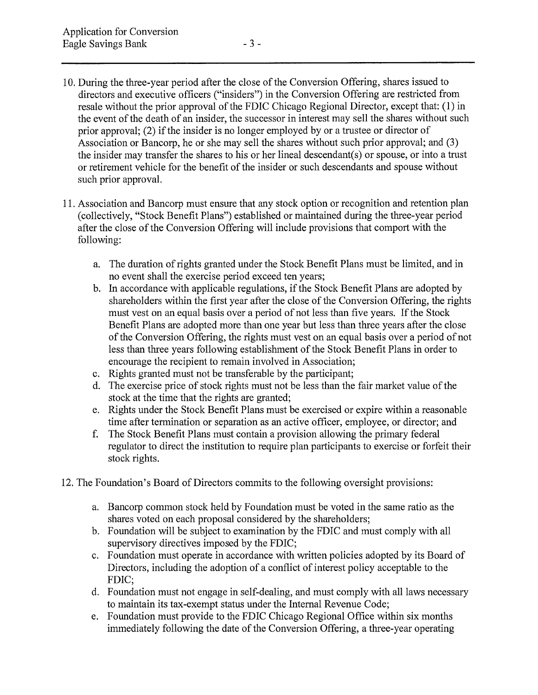- 10. During the three-year period after the close of the Conversion Offering, shares issued to directors and executive officers ("insiders") in the Conversion Offering are restricted from resale without the prior approval of the FDIC Chicago Regional Director, except that: (1) in the event of the death of an insider, the successor in interest may sell the shares without such prior approval; (2) if the insider is no longer employed by or a trustee or director of Association or Bancorp, he or she may sell the shares without such prior approval; and (3) the insider may transfer the shares to his or her lineal descendant(s) or spouse, or into a trust or retirement vehicle for the benefit of the insider or such descendants and spouse without such prior approval.
- 11. Association and Bancorp must ensure that any stock option or recognition and retention plan (collectively, "Stock Benefit Plans") established or maintained during the three-year period after the close of the Conversion Offering will include provisions that comport with the following:
	- a. The duration of rights granted under the Stock Benefit Plans must be limited, and in no event shall the exercise period exceed ten years;
	- b. In accordance with applicable regulations, if the Stock Benefit Plans are adopted by shareholders within the first year after the close of the Conversion Offering, the rights must vest on an equal basis over a period of not less than five years. If the Stock Benefit Plans are adopted more than one year but less than three years after the close of the Conversion Offering, the rights must vest on an equal basis over a period of not less than three years following establishment of the Stock Benefit Plans in order to encourage the recipient to remain involved in Association;
	- c. Rights granted must not be transferable by the participant;
	- d. The exercise price of stock rights must not be less than the fair market value of the stock at the time that the rights are granted;
	- e. Rights under the Stock Benefit Plans must be exercised or expire within a reasonable time after termination or separation as an active officer, employee, or director; and
	- f. The Stock Benefit Plans must contain a provision allowing the primary federal regulator to direct the institution to require plan participants to exercise or forfeit their stock rights.
- 12. The Foundation's Board of Directors commits to the following oversight provisions:
	- a. Bancorp common stock held by Foundation must be voted in the same ratio as the shares voted on each proposal considered by the shareholders;
	- b. Foundation will be subject to examination by the FDIC and must comply with all supervisory directives imposed by the FDIC;
	- c. Foundation must operate in accordance with written policies adopted by its Board of Directors, including the adoption of a conflict of interest policy acceptable to the FDIC;
	- d. Foundation must not engage in self-dealing, and must comply with all laws necessary to maintain its tax-exempt status under the Internal Revenue Code;
	- e. Foundation must provide to the FDIC Chicago Regional Office within six months immediately following the date of the Conversion Offering, a three-year operating